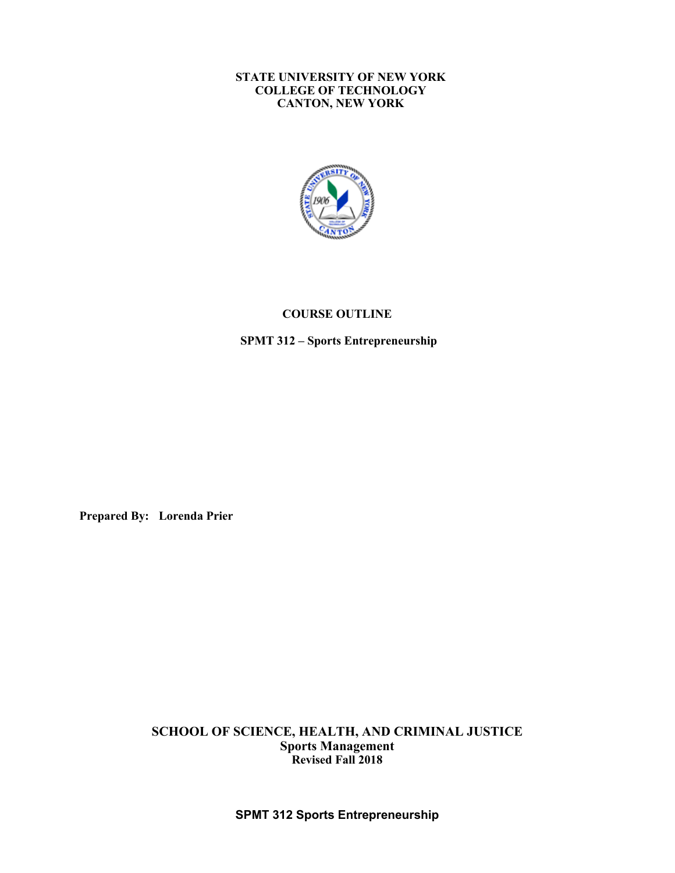#### **STATE UNIVERSITY OF NEW YORK CANTON, NEW YORK COLLEGE OF TECHNOLOGY**



## **COURSE OUTLINE**

 **SPMT 312 – Sports Entrepreneurship** 

**Prepared By: Lorenda Prier** 

 **Revised Fall 2018 SCHOOL OF SCIENCE, HEALTH, AND CRIMINAL JUSTICE Sports Management**

**SPMT 312 Sports Entrepreneurship**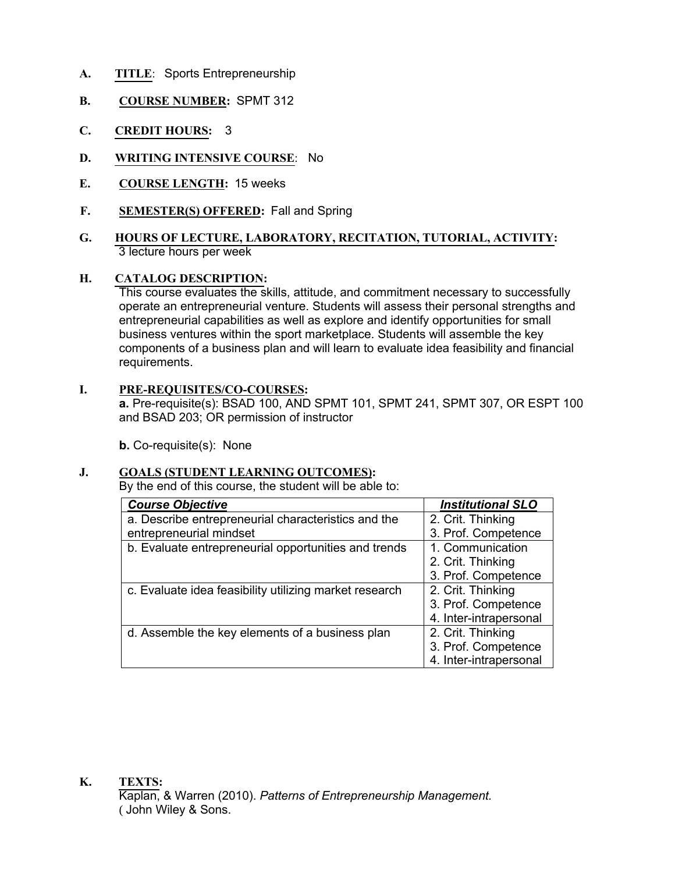- **A. TITLE**: Sports Entrepreneurship
- **B. COURSE NUMBER:** SPMT 312
- **C. CREDIT HOURS:** 3
- **D. WRITING INTENSIVE COURSE**: No
- **E. COURSE LENGTH:** 15 weeks
- **F. SEMESTER(S) OFFERED:** Fall and Spring
- **G. HOURS OF LECTURE, LABORATORY, RECITATION, TUTORIAL, ACTIVITY:** 3 lecture hours per week

#### **H. CATALOG DESCRIPTION:**

 This course evaluates the skills, attitude, and commitment necessary to successfully operate an entrepreneurial venture. Students will assess their personal strengths and entrepreneurial capabilities as well as explore and identify opportunities for small business ventures within the sport marketplace. Students will assemble the key components of a business plan and will learn to evaluate idea feasibility and financial requirements.

#### **I. PRE-REQUISITES/CO-COURSES:**

 **a.** Pre-requisite(s): BSAD 100, AND SPMT 101, SPMT 241, SPMT 307, OR ESPT 100 and BSAD 203; OR permission of instructor

**b.** Co-requisite(s): None

## **J. GOALS (STUDENT LEARNING OUTCOMES):**

By the end of this course, the student will be able to:

| <b>Course Objective</b>                                | <b>Institutional SLO</b> |
|--------------------------------------------------------|--------------------------|
| a. Describe entrepreneurial characteristics and the    | 2. Crit. Thinking        |
| entrepreneurial mindset                                | 3. Prof. Competence      |
| b. Evaluate entrepreneurial opportunities and trends   | 1. Communication         |
|                                                        | 2. Crit. Thinking        |
|                                                        | 3. Prof. Competence      |
| c. Evaluate idea feasibility utilizing market research | 2. Crit. Thinking        |
|                                                        | 3. Prof. Competence      |
|                                                        | 4. Inter-intrapersonal   |
| d. Assemble the key elements of a business plan        | 2. Crit. Thinking        |
|                                                        | 3. Prof. Competence      |
|                                                        | 4. Inter-intrapersonal   |

 **K. TEXTS:** Kaplan, & Warren (2010). *Patterns of Entrepreneurship Management.* ( John Wiley & Sons.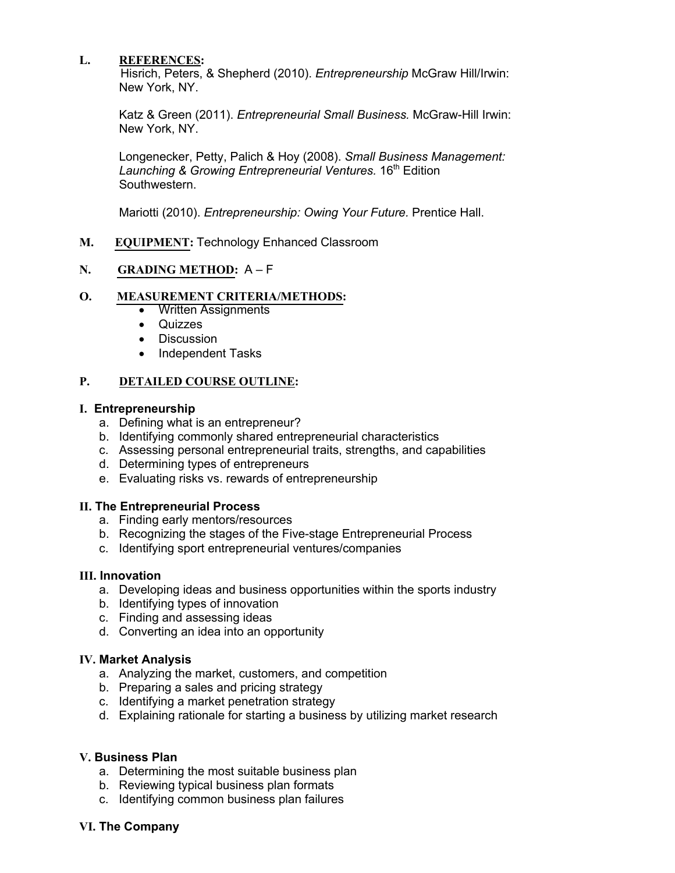# **L. REFERENCES:**

 Hisrich, Peters, & Shepherd (2010). *Entrepreneurship* McGraw Hill/Irwin: New York, NY.

 Katz & Green (2011). *Entrepreneurial Small Business.* McGraw-Hill Irwin: New York, NY.

 Longenecker, Petty, Palich & Hoy (2008). *Small Business Management:*  Launching & Growing Entrepreneurial Ventures. 16<sup>th</sup> Edition Southwestern.

Mariotti (2010). *Entrepreneurship: Owing Your Future.* Prentice Hall.

**M. EQUIPMENT:** Technology Enhanced Classroom

# **N. GRADING METHOD:** A – F

## **O. MEASUREMENT CRITERIA/METHODS:**

- Written Assignments
- Quizzes
- Discussion
- Independent Tasks

## **P. DETAILED COURSE OUTLINE:**

## **I. Entrepreneurship**

- a. Defining what is an entrepreneur?
- b. Identifying commonly shared entrepreneurial characteristics
- c. Assessing personal entrepreneurial traits, strengths, and capabilities
- d. Determining types of entrepreneurs
- e. Evaluating risks vs. rewards of entrepreneurship

## **II. The Entrepreneurial Process**

- a. Finding early mentors/resources
- b. Recognizing the stages of the Five-stage Entrepreneurial Process
- c. Identifying sport entrepreneurial ventures/companies

# **III. Innovation**

- a. Developing ideas and business opportunities within the sports industry
- b. Identifying types of innovation
- c. Finding and assessing ideas
- d. Converting an idea into an opportunity

## **IV. Market Analysis**

- a. Analyzing the market, customers, and competition
- b. Preparing a sales and pricing strategy
- c. Identifying a market penetration strategy
- d. Explaining rationale for starting a business by utilizing market research

## **V. Business Plan**

- a. Determining the most suitable business plan
- b. Reviewing typical business plan formats
- c. Identifying common business plan failures

## **VI. The Company**